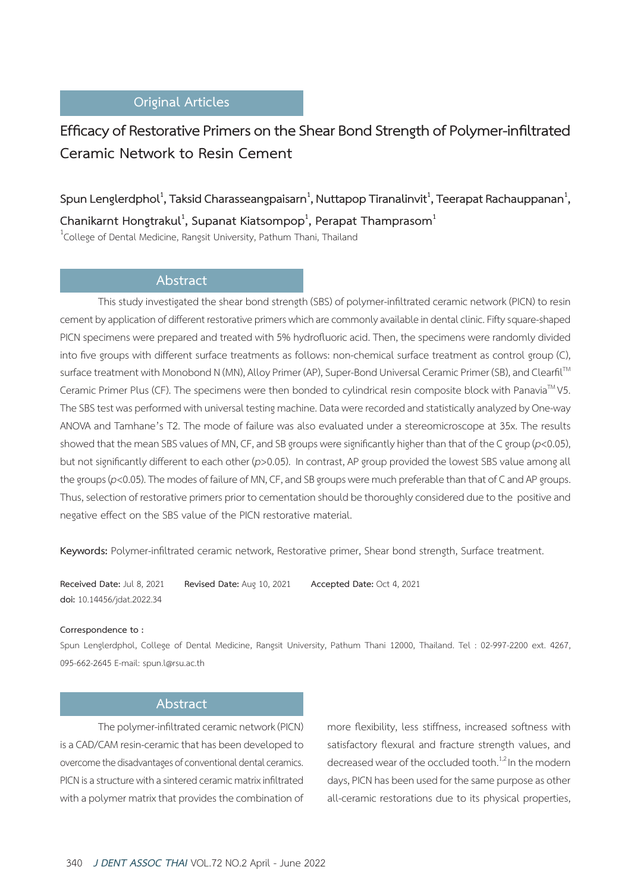## **Original Articles**

# **Efficacy of Restorative Primers on the Shear Bond Strength of Polymer-infiltrated Ceramic Network to Resin Cement**

 $\delta$ pun Lenglerdphol $^1$ , Taksid Charasseangpaisarn $^1$ , Nuttapop Tiranalinvit $^1$ , Teerapat Rachauppanan $^1$ , **Chanikarnt Hongtrakul<sup>1</sup> , Supanat Kiatsompop<sup>1</sup> , Perapat Thamprasom<sup>1</sup>**  $^1$ College of Dental Medicine, Rangsit University, Pathum Thani, Thailand

## **Abstract**

This study investigated the shear bond strength (SBS) of polymer-infiltrated ceramic network (PICN) to resin cement by application of different restorative primers which are commonly available in dental clinic. Fifty square-shaped PICN specimens were prepared and treated with 5% hydrofluoric acid. Then, the specimens were randomly divided into five groups with different surface treatments as follows: non-chemical surface treatment as control group (C), surface treatment with Monobond N (MN), Alloy Primer (AP), Super-Bond Universal Ceramic Primer (SB), and Clearfil™ Ceramic Primer Plus (CF). The specimens were then bonded to cylindrical resin composite block with Panavia™ V5. The SBS test was performed with universal testing machine. Data were recorded and statistically analyzed by One-way ANOVA and Tamhane's T2. The mode of failure was also evaluated under a stereomicroscope at 35x. The results showed that the mean SBS values of MN, CF, and SB groups were significantly higher than that of the C group (*p*<0.05), but not significantly different to each other (*p*>0.05). In contrast, AP group provided the lowest SBS value among all the groups (*p*<0.05). The modes of failure of MN, CF, and SB groups were much preferable than that of C and AP groups. Thus, selection of restorative primers prior to cementation should be thoroughly considered due to the positive and negative effect on the SBS value of the PICN restorative material.

**Keywords:** Polymer-infiltrated ceramic network, Restorative primer, Shear bond strength, Surface treatment.

**Received Date:** Jul 8, 2021 **Revised Date:** Aug 10, 2021 **Accepted Date:** Oct 4, 2021 **doi:** 10.14456/jdat.2022.34

### **Correspondence to :**

Spun Lenglerdphol, College of Dental Medicine, Rangsit University, Pathum Thani 12000, Thailand. Tel : 02-997-2200 ext. 4267, 095-662-2645 E-mail: spun.l@rsu.ac.th

### **Abstract**

The polymer-infiltrated ceramic network (PICN) is a CAD/CAM resin-ceramic that has been developed to overcome the disadvantages of conventional dental ceramics. PICN is a structure with a sintered ceramic matrix infiltrated with a polymer matrix that provides the combination of more flexibility, less stiffness, increased softness with satisfactory flexural and fracture strength values, and decreased wear of the occluded tooth.<sup>1,2</sup> In the modern days, PICN has been used for the same purpose as other all-ceramic restorations due to its physical properties,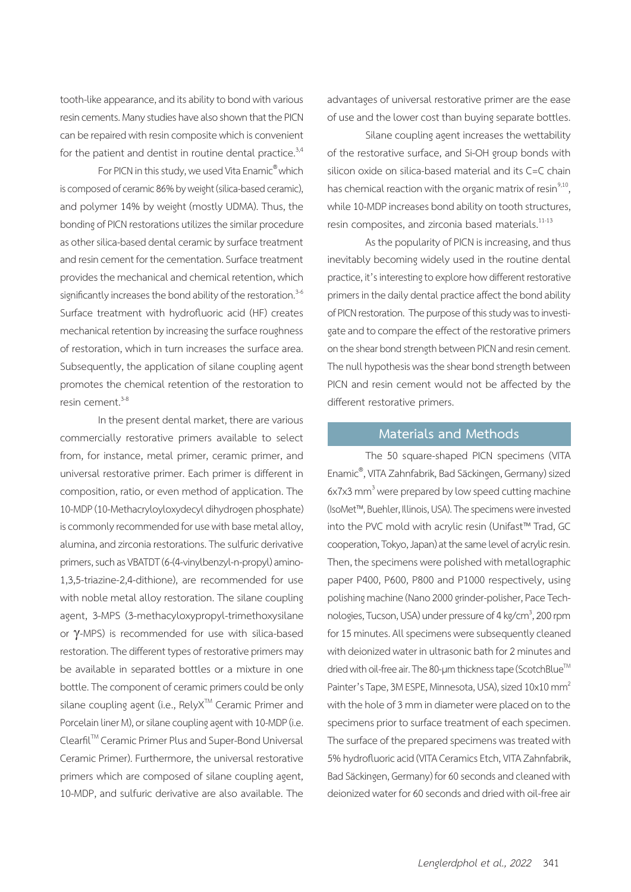tooth-like appearance, and its ability to bond with various resin cements. Many studies have also shown that the PICN can be repaired with resin composite which is convenient for the patient and dentist in routine dental practice. $3,4$ 

For PICN in this study, we used Vita Enamic® which is composed of ceramic 86% by weight (silica-based ceramic), and polymer 14% by weight (mostly UDMA). Thus, the bonding of PICN restorations utilizes the similar procedure as other silica-based dental ceramic by surface treatment and resin cement for the cementation. Surface treatment provides the mechanical and chemical retention, which significantly increases the bond ability of the restoration. $3-6$ Surface treatment with hydrofluoric acid (HF) creates mechanical retention by increasing the surface roughness of restoration, which in turn increases the surface area. Subsequently, the application of silane coupling agent promotes the chemical retention of the restoration to resin cement  $3-8$ 

In the present dental market, there are various commercially restorative primers available to select from, for instance, metal primer, ceramic primer, and universal restorative primer. Each primer is different in composition, ratio, or even method of application. The 10-MDP (10-Methacryloyloxydecyl dihydrogen phosphate) is commonly recommended for use with base metal alloy, alumina, and zirconia restorations. The sulfuric derivative primers, such as VBATDT (6-(4-vinylbenzyl-n-propyl) amino-1,3,5-triazine-2,4-dithione), are recommended for use with noble metal alloy restoration. The silane coupling agent, 3-MPS (3-methacyloxypropyl-trimethoxysilane or γ-MPS) is recommended for use with silica-based restoration. The different types of restorative primers may be available in separated bottles or a mixture in one bottle. The component of ceramic primers could be only silane coupling agent (i.e., RelyX™ Ceramic Primer and Porcelain liner M), or silane coupling agent with 10-MDP (i.e. ClearfilTM Ceramic Primer Plus and Super-Bond Universal Ceramic Primer). Furthermore, the universal restorative primers which are composed of silane coupling agent, 10-MDP, and sulfuric derivative are also available. The advantages of universal restorative primer are the ease of use and the lower cost than buying separate bottles.

Silane coupling agent increases the wettability of the restorative surface, and Si-OH group bonds with silicon oxide on silica-based material and its C=C chain has chemical reaction with the organic matrix of resin $9,10$ , while 10-MDP increases bond ability on tooth structures, resin composites, and zirconia based materials.<sup>11-13</sup>

As the popularity of PICN is increasing, and thus inevitably becoming widely used in the routine dental practice, it's interesting to explore how different restorative primers in the daily dental practice affect the bond ability of PICN restoration. The purpose of this study was to investigate and to compare the effect of the restorative primers on the shear bond strength between PICN and resin cement. The null hypothesis was the shear bond strength between PICN and resin cement would not be affected by the different restorative primers.

### **Materials and Methods**

The 50 square-shaped PICN specimens (VITA Enamic® , VITA Zahnfabrik, Bad Säckingen, Germany) sized 6x7x3 mm<sup>3</sup> were prepared by low speed cutting machine (IsoMet™, Buehler, Illinois, USA). The specimens were invested into the PVC mold with acrylic resin (Unifast™ Trad, GC cooperation, Tokyo, Japan) at the same level of acrylic resin. Then, the specimens were polished with metallographic paper P400, P600, P800 and P1000 respectively, using polishing machine (Nano 2000 grinder-polisher, Pace Technologies, Tucson, USA) under pressure of 4 kg/cm<sup>3</sup>, 200 rpm for 15 minutes. All specimens were subsequently cleaned with deionized water in ultrasonic bath for 2 minutes and dried with oil-free air. The 80-µm thickness tape (ScotchBlue™ Painter's Tape, 3M ESPE, Minnesota, USA), sized 10x10 mm<sup>2</sup> with the hole of 3 mm in diameter were placed on to the specimens prior to surface treatment of each specimen. The surface of the prepared specimens was treated with 5% hydrofluoric acid (VITA Ceramics Etch, VITA Zahnfabrik, Bad Säckingen, Germany) for 60 seconds and cleaned with deionized water for 60 seconds and dried with oil-free air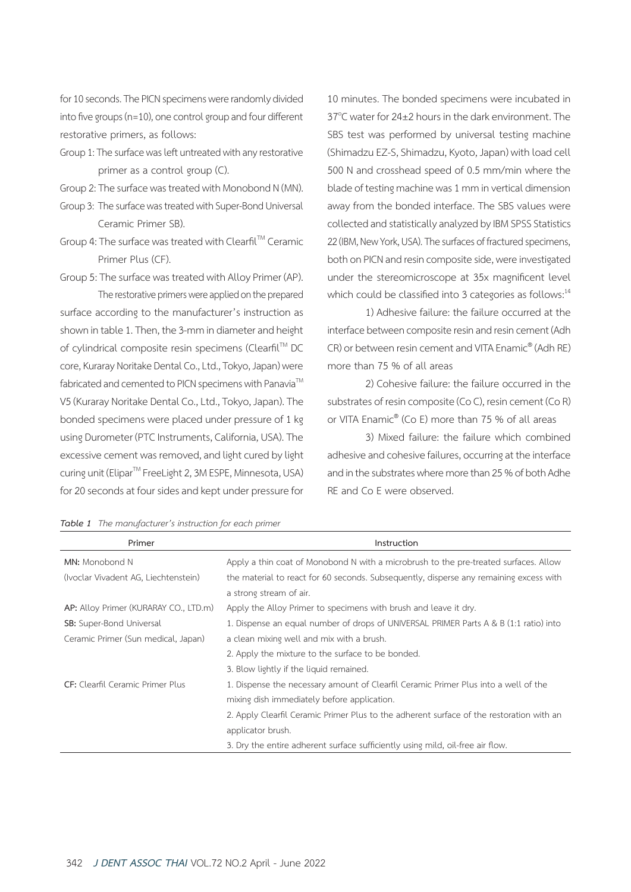for 10 seconds. The PICN specimens were randomly divided into five groups (n=10), one control group and four different restorative primers, as follows:

- Group 1: The surface was left untreated with any restorative primer as a control group (C).
- Group 2: The surface was treated with Monobond N (MN).
- Group 3: The surface was treated with Super-Bond Universal Ceramic Primer SB).
- Group 4: The surface was treated with Clearfil™ Ceramic Primer Plus (CF).
- Group 5: The surface was treated with Alloy Primer (AP).

The restorative primers were applied on the prepared surface according to the manufacturer's instruction as shown in table 1. Then, the 3-mm in diameter and height of cylindrical composite resin specimens (Clearfil™ DC core, Kuraray Noritake Dental Co., Ltd., Tokyo, Japan) were fabricated and cemented to PICN specimens with Panavia $\mathbb{I}^M$ V5 (Kuraray Noritake Dental Co., Ltd., Tokyo, Japan). The bonded specimens were placed under pressure of 1 kg using Durometer (PTC Instruments, California, USA). The excessive cement was removed, and light cured by light curing unit (Elipar<sup>™</sup> FreeLight 2, 3M ESPE, Minnesota, USA) for 20 seconds at four sides and kept under pressure for

10 minutes. The bonded specimens were incubated in  $37^{\circ}$ C water for  $24\pm2$  hours in the dark environment. The SBS test was performed by universal testing machine (Shimadzu EZ-S, Shimadzu, Kyoto, Japan) with load cell 500 N and crosshead speed of 0.5 mm/min where the blade of testing machine was 1 mm in vertical dimension away from the bonded interface. The SBS values were collected and statistically analyzed by IBM SPSS Statistics 22 (IBM, New York, USA). The surfaces of fractured specimens, both on PICN and resin composite side, were investigated under the stereomicroscope at 35x magnificent level which could be classified into 3 categories as follows: $14$ 

1) Adhesive failure: the failure occurred at the interface between composite resin and resin cement (Adh CR) or between resin cement and VITA Enamic® (Adh RE) more than 75 % of all areas

2) Cohesive failure: the failure occurred in the substrates of resin composite (Co C), resin cement (Co R) or VITA Enamic® (Co E) more than 75 % of all areas

3) Mixed failure: the failure which combined adhesive and cohesive failures, occurring at the interface and in the substrates where more than 25 % of both Adhe RE and Co E were observed.

| Primer                                  | Instruction                                                                              |
|-----------------------------------------|------------------------------------------------------------------------------------------|
| <b>MN:</b> Monobond N                   | Apply a thin coat of Monobond N with a microbrush to the pre-treated surfaces. Allow     |
| (Ivoclar Vivadent AG, Liechtenstein)    | the material to react for 60 seconds. Subsequently, disperse any remaining excess with   |
|                                         | a strong stream of air.                                                                  |
| AP: Alloy Primer (KURARAY CO., LTD.m)   | Apply the Alloy Primer to specimens with brush and leave it dry.                         |
| SB: Super-Bond Universal                | 1. Dispense an equal number of drops of UNIVERSAL PRIMER Parts A & B (1:1 ratio) into    |
| Ceramic Primer (Sun medical, Japan)     | a clean mixing well and mix with a brush.                                                |
|                                         | 2. Apply the mixture to the surface to be bonded.                                        |
|                                         | 3. Blow lightly if the liquid remained.                                                  |
| <b>CF:</b> Clearfil Ceramic Primer Plus | 1. Dispense the necessary amount of Clearfil Ceramic Primer Plus into a well of the      |
|                                         | mixing dish immediately before application.                                              |
|                                         | 2. Apply Clearfil Ceramic Primer Plus to the adherent surface of the restoration with an |
|                                         | applicator brush.                                                                        |
|                                         | 3. Dry the entire adherent surface sufficiently using mild, oil-free air flow.           |

| Table 1 The manufacturer's instruction for each primer |  |
|--------------------------------------------------------|--|
|--------------------------------------------------------|--|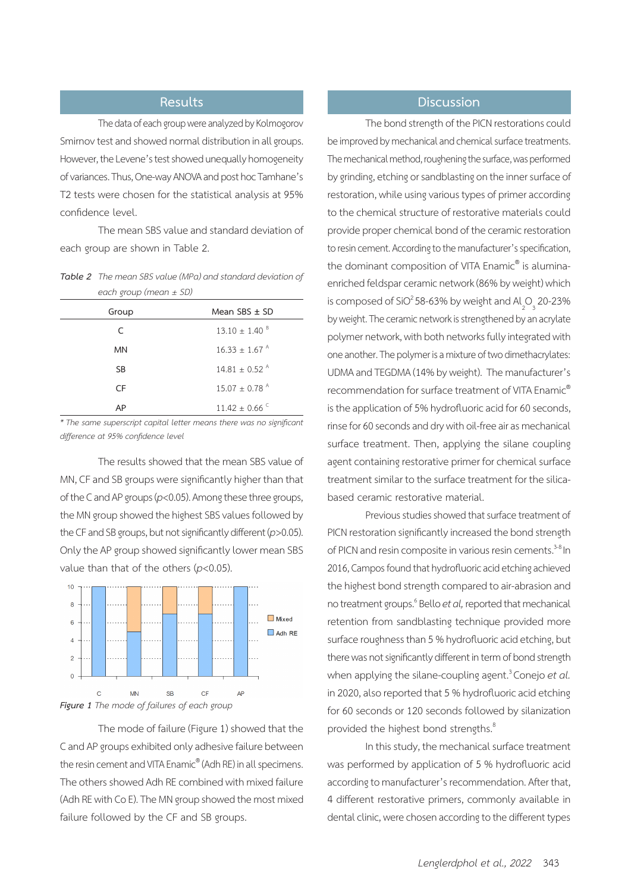The data of each group were analyzed by Kolmogorov Smirnov test and showed normal distribution in all groups. However, the Levene's test showed unequally homogeneity of variances. Thus, One-way ANOVA and post hoc Tamhane's T2 tests were chosen for the statistical analysis at 95% confidence level.

The mean SBS value and standard deviation of each group are shown in Table 2.

*Table 2 The meanSBSvalue(MPa)and standard deviationof each group (mean ± SD)*

| Group     | Mean $SBS \pm SD$             |
|-----------|-------------------------------|
| $\subset$ | $13.10 + 1.40^{\circ}$        |
| MN        | $16.33 \pm 1.67$ <sup>A</sup> |
| <b>SB</b> | $14.81 + 0.52$ <sup>A</sup>   |
| CF        | $15.07 + 0.78$ <sup>A</sup>   |
| AP        | $11.42 \pm 0.66$              |

*\* The same superscript capital letter means there was no significant difference at 95% confidence level*

The results showed that the mean SBS value of MN, CF and SB groups were significantly higher than that of the C and AP groups (*p*<0.05). Among these three groups, the MN group showed the highest SBS values followed by the CF and SB groups, but not significantly different (*p*>0.05). Only the AP group showed significantly lower mean SBS value than that of the others (*p*<0.05).





The mode of failure (Figure 1) showed that the C and AP groups exhibited only adhesive failure between the resin cement and VITA Enamic® (Adh RE) in all specimens. The others showed Adh RE combined with mixed failure (Adh RE with Co E). The MN group showed the most mixed failure followed by the CF and SB groups.

## **Results Discussion**

The bond strength of the PICN restorations could be improved by mechanical and chemical surface treatments. The mechanical method, roughening the surface, was performed by grinding, etching or sandblasting on the inner surface of restoration, while using various types of primer according to the chemical structure of restorative materials could provide proper chemical bond of the ceramic restoration to resin cement. According to the manufacturer's specification, the dominant composition of VITA Enamic® is aluminaenriched feldspar ceramic network (86% by weight) which is composed of SiO<sup>2</sup> 58-63% by weight and Al<sub>2</sub>O<sub>3</sub> 20-23% by weight. The ceramic network is strengthened by an acrylate polymer network, with both networks fully integrated with one another. The polymer is a mixture of two dimethacrylates: UDMA and TEGDMA (14% by weight). The manufacturer's recommendation for surface treatment of VITA Enamic® is the application of 5% hydrofluoric acid for 60 seconds, rinse for 60 seconds and dry with oil-free air as mechanical surface treatment. Then, applying the silane coupling agent containing restorative primer for chemical surface treatment similar to the surface treatment for the silicabased ceramic restorative material.

Previous studies showed that surface treatment of PICN restoration significantly increased the bond strength of PICN and resin composite in various resin cements.<sup>3-8</sup> In 2016, Campos found that hydrofluoric acid etching achieved the highest bond strength compared to air-abrasion and no treatment groups.<sup>6</sup> Bello *et al*, reported that mechanical retention from sandblasting technique provided more surface roughness than 5 % hydrofluoric acid etching, but there was not significantly different in term of bond strength when applying the silane-coupling agent.<sup>3</sup> Conejo *et al.* in 2020, also reported that 5 % hydrofluoric acid etching for 60 seconds or 120 seconds followed by silanization provided the highest bond strengths.<sup>8</sup>

In this study, the mechanical surface treatment was performed by application of 5 % hydrofluoric acid according to manufacturer's recommendation. After that, 4 different restorative primers, commonly available in dental clinic, were chosen according to the different types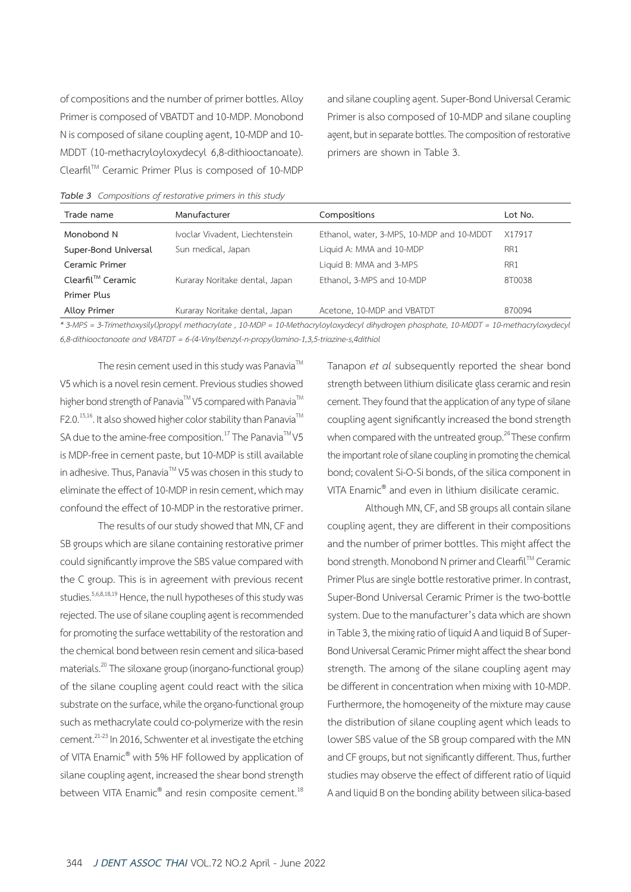of compositions and the number of primer bottles. Alloy Primer is composed of VBATDT and 10-MDP. Monobond N is composed of silane coupling agent, 10-MDP and 10- MDDT (10-methacryloyloxydecyl 6,8-dithiooctanoate). ClearfilTM Ceramic Primer Plus is composed of 10-MDP and silane coupling agent. Super-Bond Universal Ceramic Primer is also composed of 10-MDP and silane coupling agent, but in separate bottles. The composition of restorative primers are shown in Table 3.

|  | Table 3 Compositions of restorative primers in this study |  |  |  |  |  |
|--|-----------------------------------------------------------|--|--|--|--|--|
|--|-----------------------------------------------------------|--|--|--|--|--|

| Trade name           | Manufacturer                    | Compositions                                                                                                                      | Lot No. |
|----------------------|---------------------------------|-----------------------------------------------------------------------------------------------------------------------------------|---------|
| Monobond N           | Ivoclar Vivadent, Liechtenstein | Ethanol, water, 3-MPS, 10-MDP and 10-MDDT                                                                                         | X17917  |
| Super-Bond Universal | Sun medical, Japan              | Liquid A: MMA and 10-MDP                                                                                                          | RR1     |
| Ceramic Primer       |                                 | Liquid B: MMA and 3-MPS                                                                                                           | RR1     |
| Clearfil™ Ceramic    | Kuraray Noritake dental, Japan  | Ethanol, 3-MPS and 10-MDP                                                                                                         | 8T0038  |
| Primer Plus          |                                 |                                                                                                                                   |         |
| <b>Alloy Primer</b>  | Kuraray Noritake dental, Japan  | Acetone, 10-MDP and VBATDT                                                                                                        | 870094  |
|                      |                                 | * 2 MDC 2 Trimathons silve Invonced mothers data to 10 MDD 10 Mothers developed dibudragen phoephote 10 MDDT 10 mothers developed |         |

tthoxysilyl)propyl methacrylate , 10-MDP = 10-Methacryloyloxydecyl dihydrogen phosphate, 10-MDDT = 10-methacryloxydecyl *6,8-dithiooctanoate and VBATDT = 6-(4-Vinylbenzyl-n-propyl)amino-1,3,5-triazine-s,4dithiol*

The resin cement used in this study was Panavia<sup>TM</sup> V5 which is a novel resin cement. Previous studies showed higher bond strength of Panavia™ V5 compared with Panavia<sup>™</sup>  $F2.0^{15,16}$ . It also showed higher color stability than Panavia<sup>TM</sup> SA due to the amine-free composition.<sup>17</sup> The Panavia<sup>TM</sup> V5 is MDP-free in cement paste, but 10-MDP is still available in adhesive. Thus, Panavia™ V5 was chosen in this study to eliminate the effect of 10-MDP in resin cement, which may confound the effect of 10-MDP in the restorative primer.

The results of our study showed that MN, CF and SB groups which are silane containing restorative primer could significantly improve the SBS value compared with the C group. This is in agreement with previous recent studies.<sup>5,6,8,18,19</sup> Hence, the null hypotheses of this study was rejected. The use of silane coupling agent is recommended for promoting the surface wettability of the restoration and the chemical bond between resin cement and silica-based materials.20 The siloxane group (inorgano-functional group) of the silane coupling agent could react with the silica substrate on the surface, while the organo-functional group such as methacrylate could co-polymerize with the resin cement.21-23 In 2016, Schwenter et al investigate the etching of VITA Enamic® with 5% HF followed by application of silane coupling agent, increased the shear bond strength between VITA Enamic® and resin composite cement.<sup>18</sup>

Tanapon *et al* subsequently reported the shear bond strength between lithium disilicate glass ceramic and resin cement. They found that the application of any type of silane coupling agent significantly increased the bond strength when compared with the untreated group.<sup>24</sup> These confirm the important role of silane coupling in promoting the chemical bond; covalent Si-O-Si bonds, of the silica component in VITA Enamic® and even in lithium disilicate ceramic.

Although MN, CF, and SB groups all contain silane coupling agent, they are different in their compositions and the number of primer bottles. This might affect the bond strength. Monobond N primer and Clearfil™ Ceramic Primer Plus are single bottle restorative primer. In contrast, Super-Bond Universal Ceramic Primer is the two-bottle system. Due to the manufacturer's data which are shown in Table 3, the mixing ratio of liquid A and liquid B of Super-Bond Universal Ceramic Primer might affect the shear bond strength. The among of the silane coupling agent may be different in concentration when mixing with 10-MDP. Furthermore, the homogeneity of the mixture may cause the distribution of silane coupling agent which leads to lower SBS value of the SB group compared with the MN and CF groups, but not significantly different. Thus, further studies may observe the effect of different ratio of liquid A and liquid B on the bonding ability between silica-based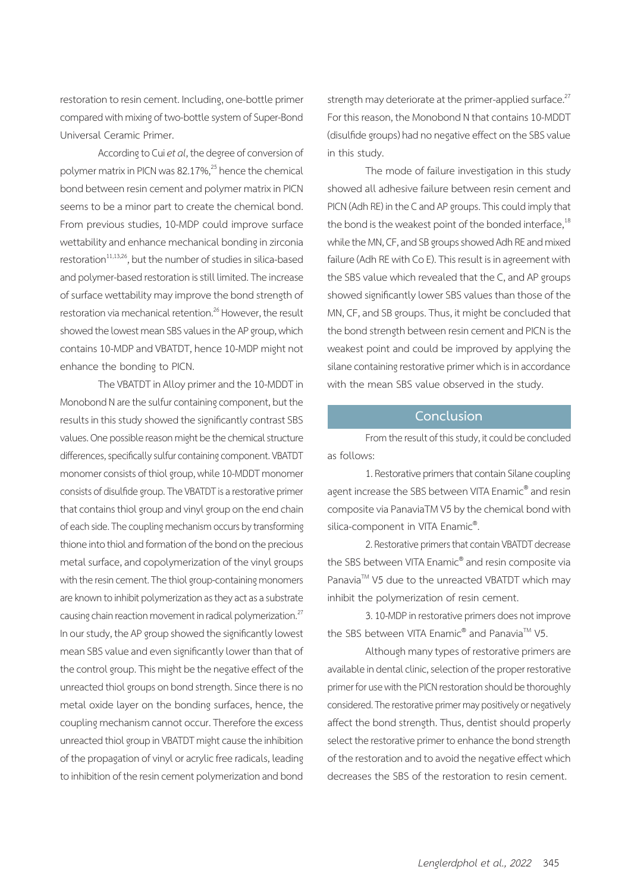restoration to resin cement. Including, one-bottle primer compared with mixing of two-bottle system of Super-Bond Universal Ceramic Primer.

According to Cui *et al*, the degree of conversion of polymer matrix in PICN was 82.17%,<sup>25</sup> hence the chemical bond between resin cement and polymer matrix in PICN seems to be a minor part to create the chemical bond. From previous studies, 10-MDP could improve surface wettability and enhance mechanical bonding in zirconia restoration<sup>11,13,26</sup>, but the number of studies in silica-based and polymer-based restoration is still limited. The increase of surface wettability may improve the bond strength of restoration via mechanical retention.<sup>26</sup> However, the result showed the lowest mean SBS values in the AP group, which contains 10-MDP and VBATDT, hence 10-MDP might not enhance the bonding to PICN.

The VBATDT in Alloy primer and the 10-MDDT in Monobond N are the sulfur containing component, but the results in this study showed the significantly contrast SBS values. One possible reason might be the chemical structure differences, specifically sulfur containing component. VBATDT monomer consists of thiol group, while 10-MDDT monomer consists of disulfide group. The VBATDT is a restorative primer that contains thiol group and vinyl group on the end chain of each side. The coupling mechanism occurs by transforming thione into thiol and formation of the bond on the precious metal surface, and copolymerization of the vinyl groups with the resin cement. The thiol group-containing monomers are known to inhibit polymerization as they act as a substrate causing chain reaction movement in radical polymerization.<sup>27</sup> In our study, the AP group showed the significantly lowest mean SBS value and even significantly lower than that of the control group. This might be the negative effect of the unreacted thiol groups on bond strength. Since there is no metal oxide layer on the bonding surfaces, hence, the coupling mechanism cannot occur. Therefore the excess unreacted thiol group in VBATDT might cause the inhibition of the propagation of vinyl or acrylic free radicals, leading to inhibition of the resin cement polymerization and bond strength may deteriorate at the primer-applied surface. $27$ For this reason, the Monobond N that contains 10-MDDT (disulfide groups) had no negative effect on the SBS value in this study.

The mode of failure investigation in this study showed all adhesive failure between resin cement and PICN (Adh RE) in the C and AP groups. This could imply that the bond is the weakest point of the bonded interface, $18$ while the MN, CF, and SB groups showed Adh RE and mixed failure (Adh RE with Co E). This result is in agreement with the SBS value which revealed that the C, and AP groups showed significantly lower SBS values than those of the MN, CF, and SB groups. Thus, it might be concluded that the bond strength between resin cement and PICN is the weakest point and could be improved by applying the silane containing restorative primer which is in accordance with the mean SBS value observed in the study.

### **Conclusion**

From the result of this study, it could be concluded as follows:

1. Restorative primers that contain Silane coupling agent increase the SBS between VITA Enamic® and resin composite via PanaviaTM V5 by the chemical bond with silica-component in VITA Enamic®. .

2. Restorative primers that contain VBATDT decrease the SBS between VITA Enamic® and resin composite via Panavia™ V5 due to the unreacted VBATDT which may inhibit the polymerization of resin cement.

3. 10-MDP in restorative primers does not improve the SBS between VITA Enamic<sup>®</sup> and Panavia<sup>™</sup> V5.

Although many types of restorative primers are available in dental clinic, selection of the proper restorative primer for use with the PICN restoration should be thoroughly considered. The restorative primer may positively or negatively affect the bond strength. Thus, dentist should properly select the restorative primer to enhance the bond strength of the restoration and to avoid the negative effect which decreases the SBS of the restoration to resin cement.